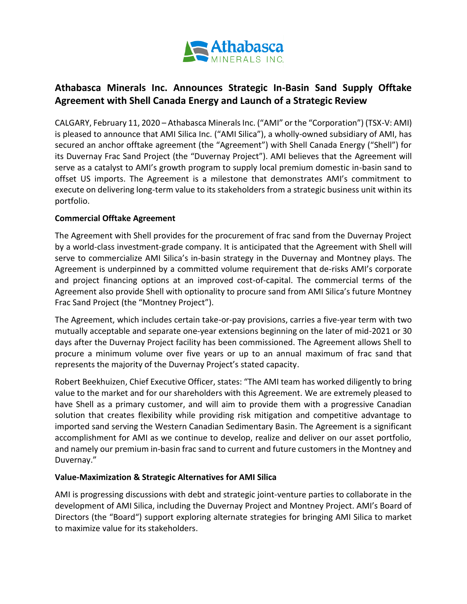

# **Athabasca Minerals Inc. Announces Strategic In-Basin Sand Supply Offtake Agreement with Shell Canada Energy and Launch of a Strategic Review**

CALGARY, February 11, 2020 – Athabasca Minerals Inc. ("AMI" or the "Corporation") (TSX-V: AMI) is pleased to announce that AMI Silica Inc. ("AMI Silica"), a wholly-owned subsidiary of AMI, has secured an anchor offtake agreement (the "Agreement") with Shell Canada Energy ("Shell") for its Duvernay Frac Sand Project (the "Duvernay Project"). AMI believes that the Agreement will serve as a catalyst to AMI's growth program to supply local premium domestic in-basin sand to offset US imports. The Agreement is a milestone that demonstrates AMI's commitment to execute on delivering long-term value to its stakeholders from a strategic business unit within its portfolio.

## **Commercial Offtake Agreement**

The Agreement with Shell provides for the procurement of frac sand from the Duvernay Project by a world-class investment-grade company. It is anticipated that the Agreement with Shell will serve to commercialize AMI Silica's in-basin strategy in the Duvernay and Montney plays. The Agreement is underpinned by a committed volume requirement that de-risks AMI's corporate and project financing options at an improved cost-of-capital. The commercial terms of the Agreement also provide Shell with optionality to procure sand from AMI Silica's future Montney Frac Sand Project (the "Montney Project").

The Agreement, which includes certain take-or-pay provisions, carries a five-year term with two mutually acceptable and separate one-year extensions beginning on the later of mid-2021 or 30 days after the Duvernay Project facility has been commissioned. The Agreement allows Shell to procure a minimum volume over five years or up to an annual maximum of frac sand that represents the majority of the Duvernay Project's stated capacity.

Robert Beekhuizen, Chief Executive Officer, states: "The AMI team has worked diligently to bring value to the market and for our shareholders with this Agreement. We are extremely pleased to have Shell as a primary customer, and will aim to provide them with a progressive Canadian solution that creates flexibility while providing risk mitigation and competitive advantage to imported sand serving the Western Canadian Sedimentary Basin. The Agreement is a significant accomplishment for AMI as we continue to develop, realize and deliver on our asset portfolio, and namely our premium in-basin frac sand to current and future customers in the Montney and Duvernay."

#### **Value-Maximization & Strategic Alternatives for AMI Silica**

AMI is progressing discussions with debt and strategic joint-venture parties to collaborate in the development of AMI Silica, including the Duvernay Project and Montney Project. AMI's Board of Directors (the "Board") support exploring alternate strategies for bringing AMI Silica to market to maximize value for its stakeholders.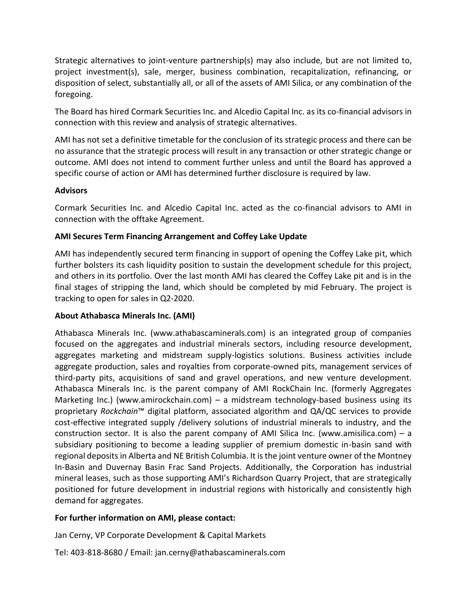Strategic alternatives to joint-venture partnership(s) may also include, but are not limited to, project investment(s), sale, merger, business combination, recapitalization, refinancing, or disposition of select, substantially all, or all of the assets of AMI Silica, or any combination of the foregoing.

The Board has hired Cormark Securities Inc. and Alcedio Capital Inc. as its co-financial advisors in connection with this review and analysis of strategic alternatives.

AMI has not set a definitive timetable for the conclusion of its strategic process and there can be no assurance that the strategic process will result in any transaction or other strategic change or outcome. AMI does not intend to comment further unless and until the Board has approved a specific course of action or AMI has determined further disclosure is required by law.

## **Advisors**

Cormark Securities Inc. and Alcedio Capital Inc. acted as the co-financial advisors to AMI in connection with the offtake Agreement.

## **AMI Secures Term Financing Arrangement and Coffey Lake Update**

AMI has independently secured term financing in support of opening the Coffey Lake pit, which further bolsters its cash liquidity position to sustain the development schedule for this project, and others in its portfolio. Over the last month AMI has cleared the Coffey Lake pit and is in the final stages of stripping the land, which should be completed by mid February. The project is tracking to open for sales in Q2-2020.

#### **About Athabasca Minerals Inc. (AMI)**

Athabasca Minerals Inc. (www.athabascaminerals.com) is an integrated group of companies focused on the aggregates and industrial minerals sectors, including resource development, aggregates marketing and midstream supply-logistics solutions. Business activities include aggregate production, sales and royalties from corporate-owned pits, management services of third-party pits, acquisitions of sand and gravel operations, and new venture development. Athabasca Minerals Inc. is the parent company of AMI RockChain Inc. (formerly Aggregates Marketing Inc.) (www.amirockchain.com) – a midstream technology-based business using its proprietary *Rockchain*™ digital platform, associated algorithm and QA/QC services to provide cost-effective integrated supply /delivery solutions of industrial minerals to industry, and the construction sector. It is also the parent company of AMI Silica Inc. (www.amisilica.com) – a subsidiary positioning to become a leading supplier of premium domestic in-basin sand with regional deposits in Alberta and NE British Columbia. It is the joint venture owner of the Montney In-Basin and Duvernay Basin Frac Sand Projects. Additionally, the Corporation has industrial mineral leases, such as those supporting AMI's Richardson Quarry Project, that are strategically positioned for future development in industrial regions with historically and consistently high demand for aggregates.

#### **For further information on AMI, please contact:**

Jan Cerny, VP Corporate Development & Capital Markets

Tel: 403-818-8680 / Email: jan.cerny@athabascaminerals.com